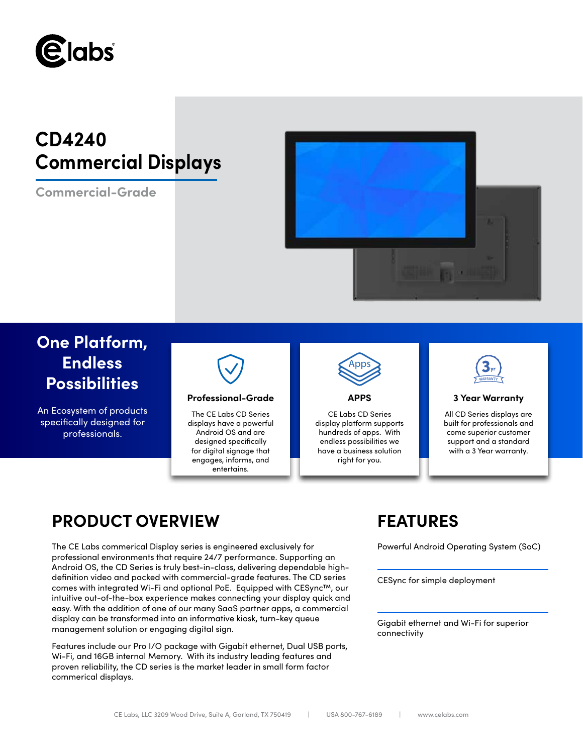

# **CD4240 Commercial Displays**

**Commercial-Grade**



# **One Platform, Endless Possibilities**

An Ecosystem of products specifically designed for professionals.



## **Professional-Grade APPS 3 Year Warranty**

The CE Labs CD Series displays have a powerful Android OS and are designed specifically for digital signage that engages, informs, and entertains.



CE Labs CD Series display platform supports hundreds of apps. With endless possibilities we have a business solution right for you.



All CD Series displays are built for professionals and come superior customer support and a standard with a 3 Year warranty.

# **PRODUCT OVERVIEW FEATURES**

The CE Labs commerical Display series is engineered exclusively for Powerful Android Operating System (SoC) professional environments that require 24/7 performance. Supporting an Android OS, the CD Series is truly best-in-class, delivering dependable highdefinition video and packed with commercial-grade features. The CD series comes with integrated Wi-Fi and optional PoE. Equipped with CESync™, our intuitive out-of-the-box experience makes connecting your display quick and easy. With the addition of one of our many SaaS partner apps, a commercial display can be transformed into an informative kiosk, turn-key queue management solution or engaging digital sign.

Features include our Pro I/O package with Gigabit ethernet, Dual USB ports, Wi-Fi, and 16GB internal Memory. With its industry leading features and proven reliability, the CD series is the market leader in small form factor commerical displays.

CESync for simple deployment

Gigabit ethernet and Wi-Fi for superior connectivity